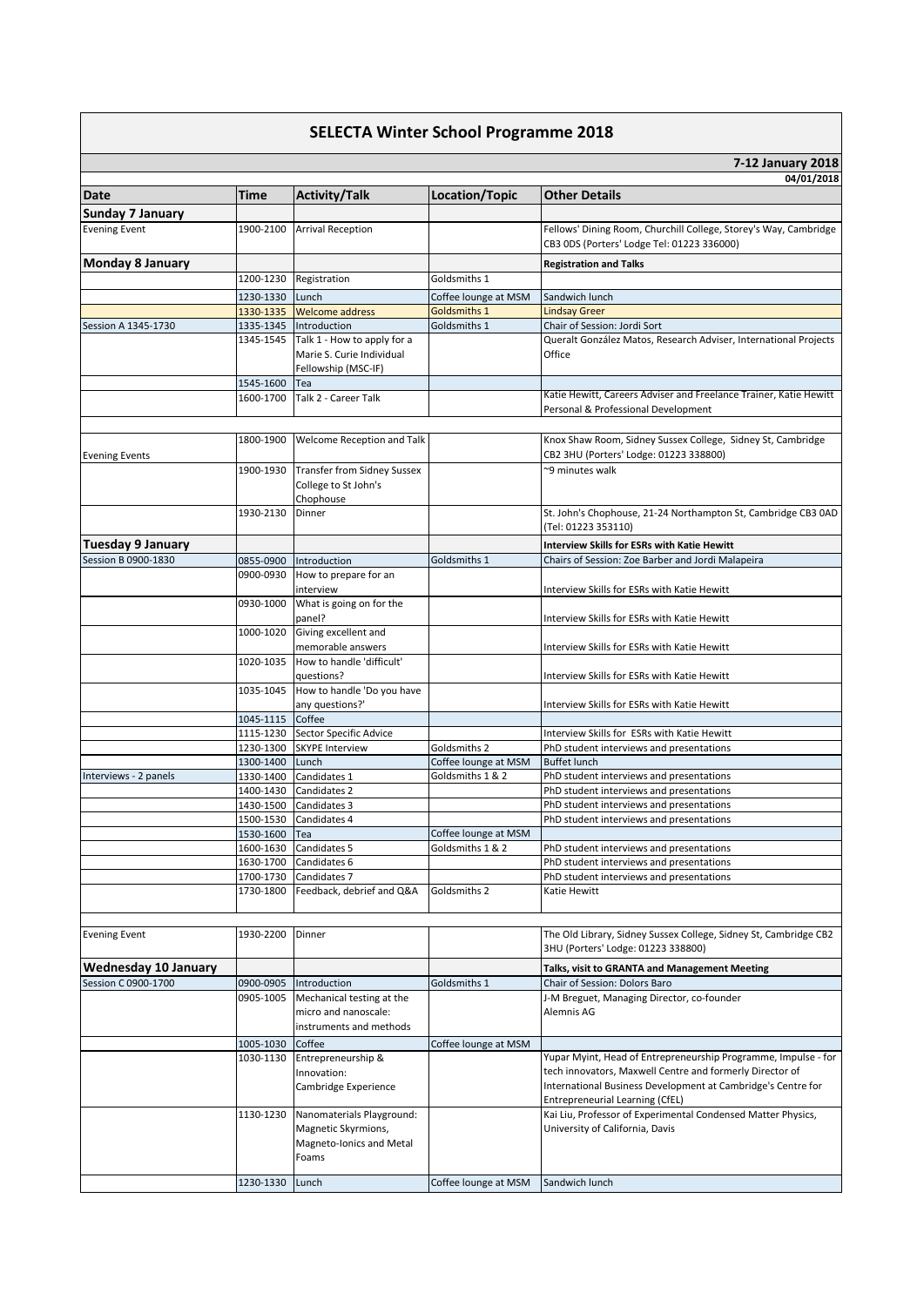| <b>SELECTA Winter School Programme 2018</b> |           |                                                                                       |                      |                                                                                                                                                                                            |  |  |
|---------------------------------------------|-----------|---------------------------------------------------------------------------------------|----------------------|--------------------------------------------------------------------------------------------------------------------------------------------------------------------------------------------|--|--|
|                                             |           |                                                                                       |                      | 7-12 January 2018                                                                                                                                                                          |  |  |
|                                             |           |                                                                                       |                      | 04/01/2018                                                                                                                                                                                 |  |  |
| Date                                        | Time      | <b>Activity/Talk</b>                                                                  | Location/Topic       | <b>Other Details</b>                                                                                                                                                                       |  |  |
| <b>Sunday 7 January</b>                     |           |                                                                                       |                      |                                                                                                                                                                                            |  |  |
| <b>Evening Event</b>                        | 1900-2100 | <b>Arrival Reception</b>                                                              |                      | Fellows' Dining Room, Churchill College, Storey's Way, Cambridge<br>CB3 ODS (Porters' Lodge Tel: 01223 336000)                                                                             |  |  |
| <b>Monday 8 January</b>                     |           |                                                                                       |                      | <b>Registration and Talks</b>                                                                                                                                                              |  |  |
|                                             | 1200-1230 | Registration                                                                          | Goldsmiths 1         |                                                                                                                                                                                            |  |  |
|                                             | 1230-1330 | Lunch                                                                                 | Coffee lounge at MSM | Sandwich lunch                                                                                                                                                                             |  |  |
|                                             | 1330-1335 | <b>Welcome address</b>                                                                | Goldsmiths 1         | <b>Lindsay Greer</b>                                                                                                                                                                       |  |  |
| Session A 1345-1730                         | 1335-1345 | Introduction                                                                          | Goldsmiths 1         | Chair of Session: Jordi Sort                                                                                                                                                               |  |  |
|                                             | 1345-1545 | Talk 1 - How to apply for a<br>Marie S. Curie Individual<br>Fellowship (MSC-IF)       |                      | Queralt González Matos, Research Adviser, International Projects<br>Office                                                                                                                 |  |  |
|                                             | 1545-1600 | Tea                                                                                   |                      |                                                                                                                                                                                            |  |  |
|                                             | 1600-1700 | Talk 2 - Career Talk                                                                  |                      | Katie Hewitt, Careers Adviser and Freelance Trainer, Katie Hewitt<br>Personal & Professional Development                                                                                   |  |  |
| <b>Evening Events</b>                       | 1800-1900 | Welcome Reception and Talk                                                            |                      | Knox Shaw Room, Sidney Sussex College, Sidney St, Cambridge<br>CB2 3HU (Porters' Lodge: 01223 338800)                                                                                      |  |  |
|                                             | 1900-1930 | <b>Transfer from Sidney Sussex</b><br>College to St John's<br>Chophouse               |                      | ~9 minutes walk                                                                                                                                                                            |  |  |
|                                             | 1930-2130 | Dinner                                                                                |                      | St. John's Chophouse, 21-24 Northampton St, Cambridge CB3 0AD<br>(Tel: 01223 353110)                                                                                                       |  |  |
| <b>Tuesday 9 January</b>                    |           |                                                                                       |                      | <b>Interview Skills for ESRs with Katie Hewitt</b>                                                                                                                                         |  |  |
| Session B 0900-1830                         | 0855-0900 | Introduction                                                                          | Goldsmiths 1         | Chairs of Session: Zoe Barber and Jordi Malapeira                                                                                                                                          |  |  |
|                                             | 0900-0930 | How to prepare for an<br>interview                                                    |                      | Interview Skills for ESRs with Katie Hewitt                                                                                                                                                |  |  |
|                                             | 0930-1000 | What is going on for the<br>panel?                                                    |                      | Interview Skills for ESRs with Katie Hewitt                                                                                                                                                |  |  |
|                                             | 1000-1020 | Giving excellent and<br>memorable answers                                             |                      | Interview Skills for ESRs with Katie Hewitt                                                                                                                                                |  |  |
|                                             | 1020-1035 | How to handle 'difficult'<br>questions?                                               |                      | Interview Skills for ESRs with Katie Hewitt                                                                                                                                                |  |  |
|                                             | 1035-1045 | How to handle 'Do you have<br>any questions?'                                         |                      | Interview Skills for ESRs with Katie Hewitt                                                                                                                                                |  |  |
|                                             | 1045-1115 | Coffee                                                                                |                      |                                                                                                                                                                                            |  |  |
|                                             | 1115-1230 | Sector Specific Advice                                                                |                      | Interview Skills for ESRs with Katie Hewitt                                                                                                                                                |  |  |
|                                             | 1230-1300 | <b>SKYPE Interview</b>                                                                | Goldsmiths 2         | PhD student interviews and presentations                                                                                                                                                   |  |  |
|                                             | 1300-1400 | Lunch                                                                                 | Coffee lounge at MSM | <b>Buffet lunch</b>                                                                                                                                                                        |  |  |
| Interviews - 2 panels                       | 1330-1400 | Candidates 1<br>Candidates 2                                                          | Goldsmiths 1 & 2     | PhD student interviews and presentations                                                                                                                                                   |  |  |
|                                             | 1400-1430 | 1430-1500 Candidates 3                                                                |                      | PhD student interviews and presentations<br>PhD student interviews and presentations                                                                                                       |  |  |
|                                             | 1500-1530 | Candidates 4                                                                          |                      | PhD student interviews and presentations                                                                                                                                                   |  |  |
|                                             | 1530-1600 | Tea                                                                                   | Coffee lounge at MSM |                                                                                                                                                                                            |  |  |
|                                             | 1600-1630 | Candidates 5                                                                          | Goldsmiths 1 & 2     | PhD student interviews and presentations                                                                                                                                                   |  |  |
|                                             | 1630-1700 | Candidates 6                                                                          |                      | PhD student interviews and presentations                                                                                                                                                   |  |  |
|                                             | 1700-1730 | Candidates 7                                                                          |                      | PhD student interviews and presentations                                                                                                                                                   |  |  |
|                                             | 1730-1800 | Feedback, debrief and Q&A                                                             | Goldsmiths 2         | Katie Hewitt                                                                                                                                                                               |  |  |
| <b>Evening Event</b>                        | 1930-2200 | Dinner                                                                                |                      | The Old Library, Sidney Sussex College, Sidney St, Cambridge CB2<br>3HU (Porters' Lodge: 01223 338800)                                                                                     |  |  |
| Wednesday 10 January                        |           |                                                                                       |                      | Talks, visit to GRANTA and Management Meeting                                                                                                                                              |  |  |
| Session C 0900-1700                         | 0900-0905 | Introduction                                                                          | Goldsmiths 1         | Chair of Session: Dolors Baro                                                                                                                                                              |  |  |
|                                             | 0905-1005 | Mechanical testing at the<br>micro and nanoscale:<br>instruments and methods          |                      | J-M Breguet, Managing Director, co-founder<br>Alemnis AG                                                                                                                                   |  |  |
|                                             | 1005-1030 | Coffee                                                                                | Coffee lounge at MSM |                                                                                                                                                                                            |  |  |
|                                             | 1030-1130 | Entrepreneurship &<br>Innovation:<br>Cambridge Experience                             |                      | Yupar Myint, Head of Entrepreneurship Programme, Impulse - for<br>tech innovators, Maxwell Centre and formerly Director of<br>International Business Development at Cambridge's Centre for |  |  |
|                                             |           |                                                                                       |                      | Entrepreneurial Learning (CfEL)                                                                                                                                                            |  |  |
|                                             | 1130-1230 | Nanomaterials Playground:<br>Magnetic Skyrmions,<br>Magneto-Ionics and Metal<br>Foams |                      | Kai Liu, Professor of Experimental Condensed Matter Physics,<br>University of California, Davis                                                                                            |  |  |
|                                             | 1230-1330 | Lunch                                                                                 | Coffee lounge at MSM | Sandwich lunch                                                                                                                                                                             |  |  |